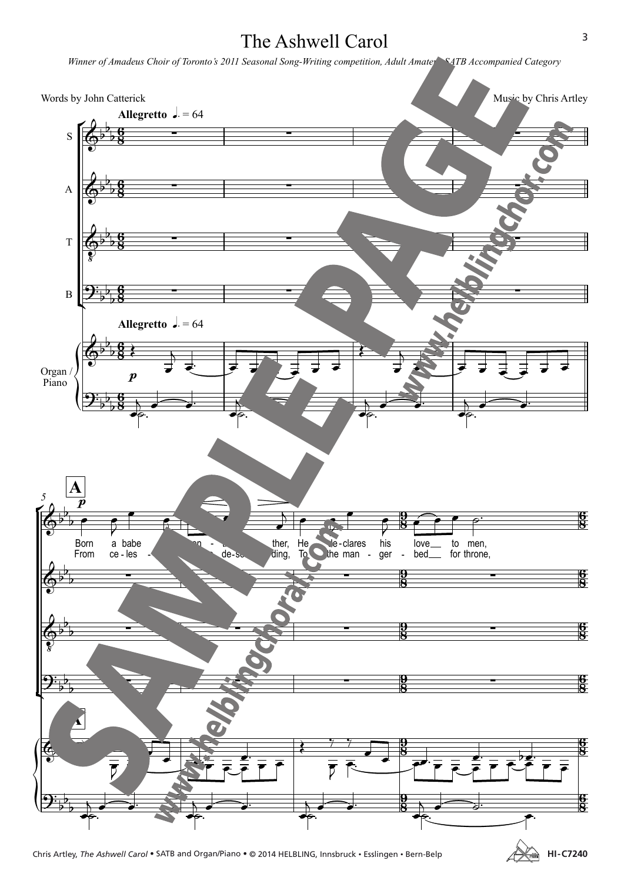The Ashwell Carol

*Winner of Amadeus Choir of Toronto's 2011 Seasonal Song-Writing competition, Adult Amater* S4TB Accompanied Category

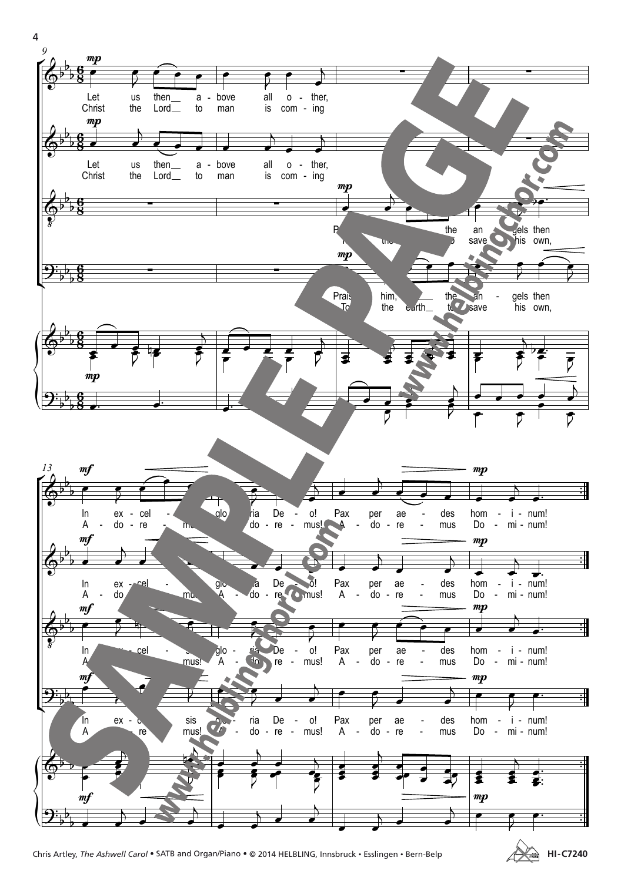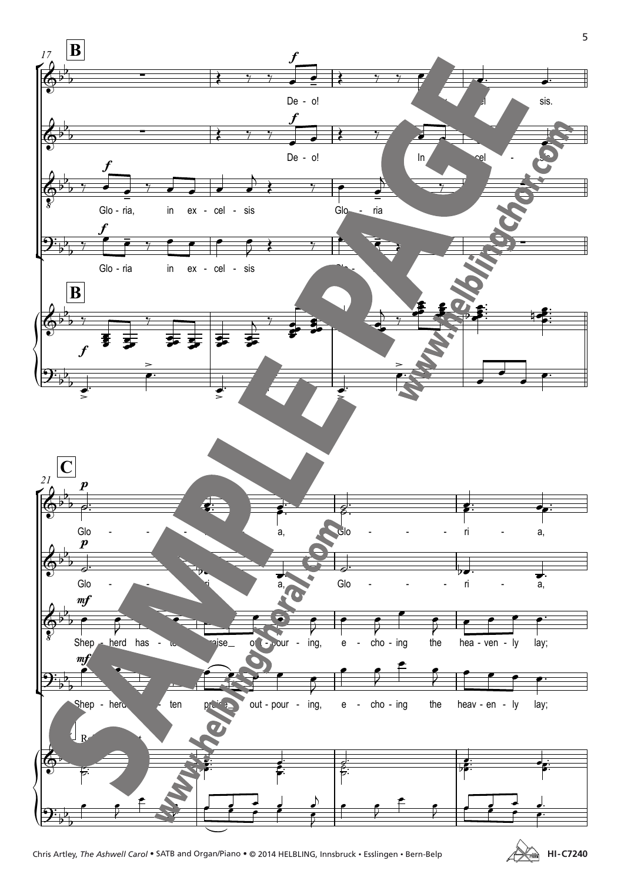

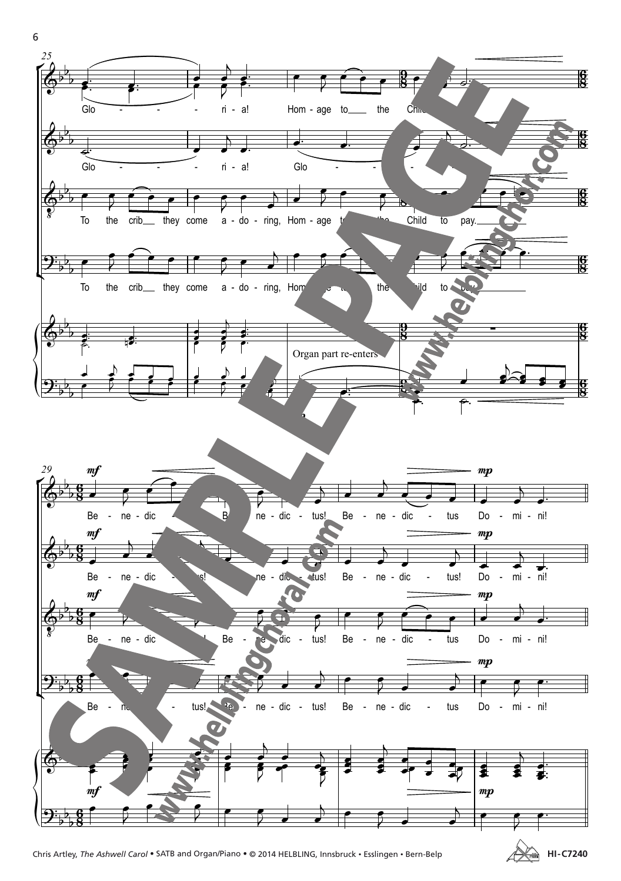

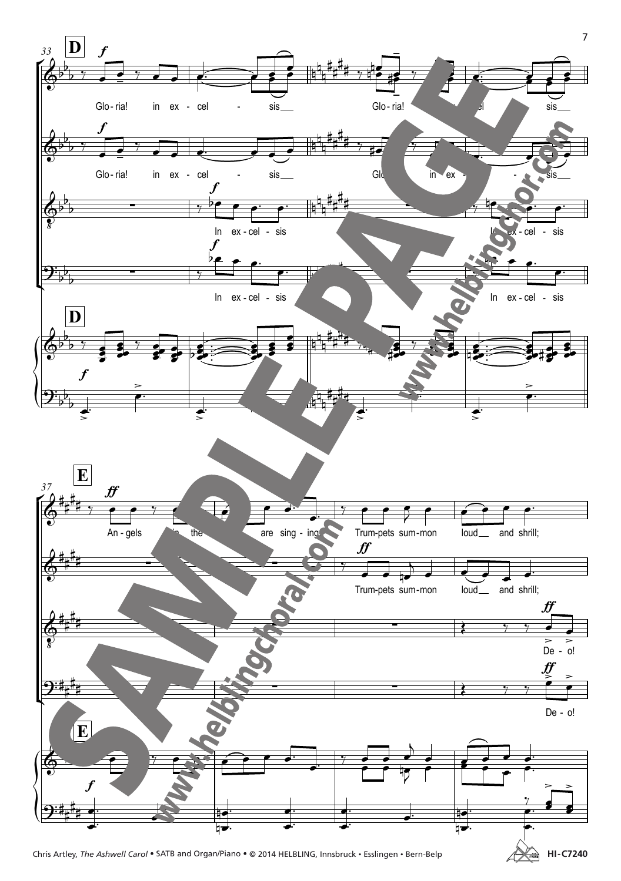

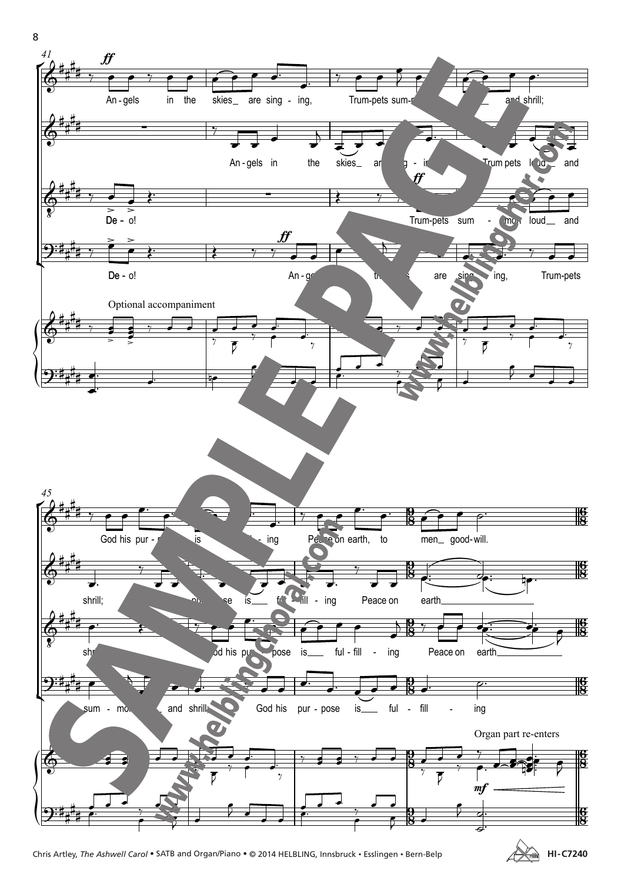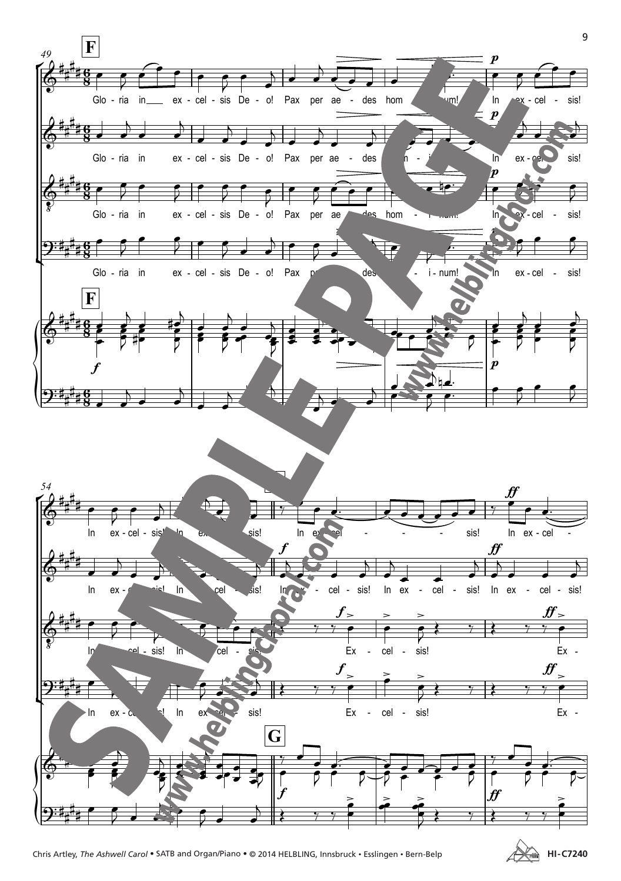

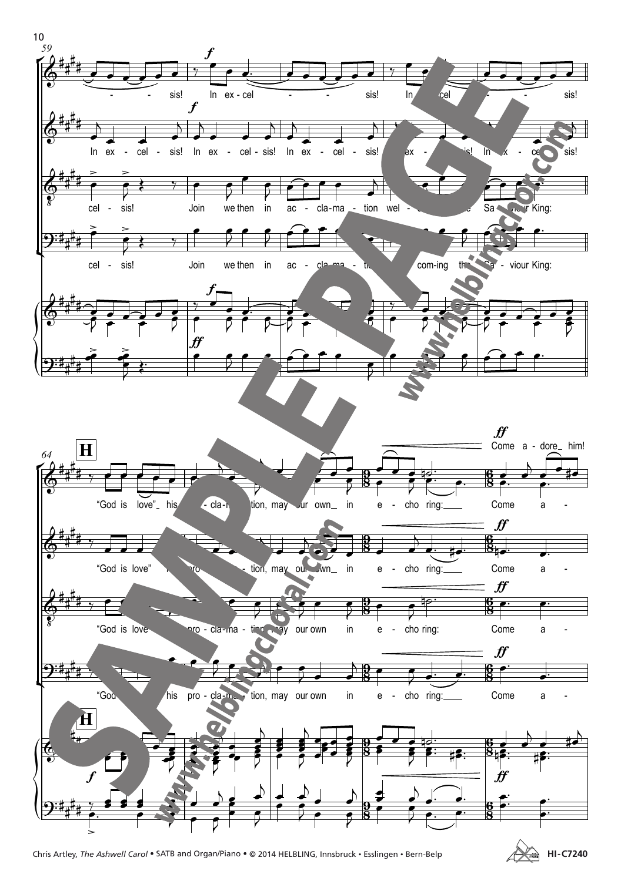

Chris Artley, *The Ashwell Carol* • SATB and Organ/Piano • © 2014 Helbling, Innsbruck • Esslingen • Bern-Belp **HI -C7240**